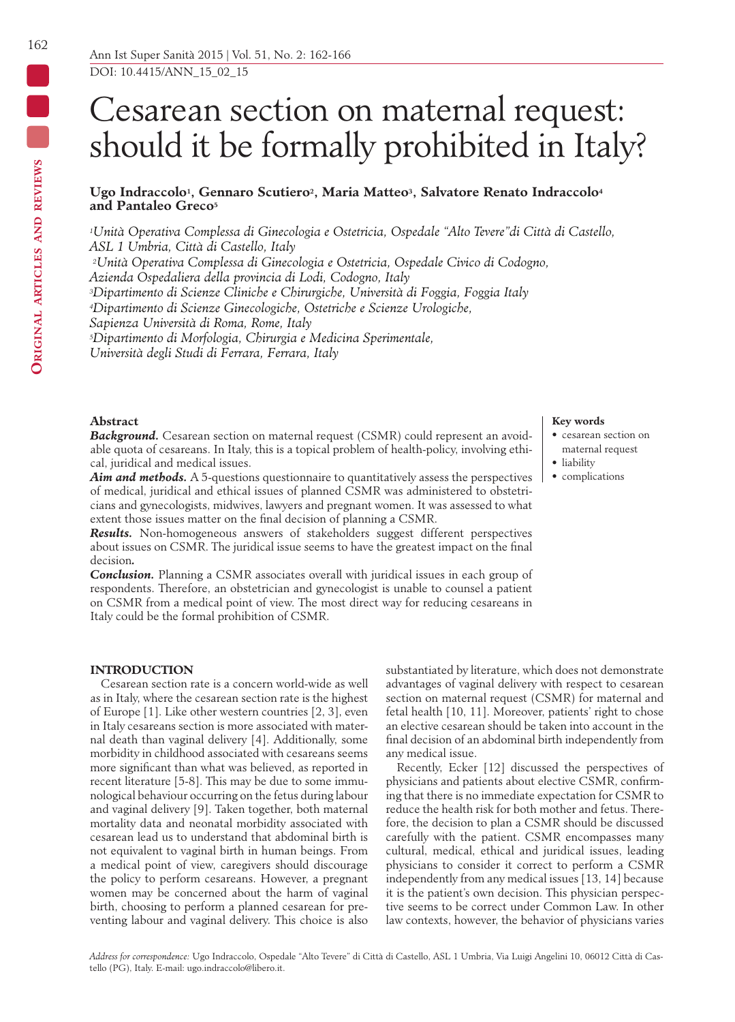162

# Cesarean section on maternal request: should it be formally prohibited in Italy?

Ugo Indraccolo<sup>1</sup>, Gennaro Scutiero<sup>2</sup>, Maria Matteo<sup>3</sup>, Salvatore Renato Indraccolo<sup>4</sup> **and Pantaleo Greco5**

*1Unità Operativa Complessa di Ginecologia e Ostetricia, Ospedale "Alto Tevere"di Città di Castello, ASL 1 Umbria, Città di Castello, Italy*

*2Unità Operativa Complessa di Ginecologia e Ostetricia, Ospedale Civico di Codogno,* 

*Azienda Ospedaliera della provincia di Lodi, Codogno, Italy*

*3Dipartimento di Scienze Cliniche e Chirurgiche, Università di Foggia, Foggia Italy*

*4Dipartimento di Scienze Ginecologiche, Ostetriche e Scienze Urologiche,* 

*Sapienza Università di Roma, Rome, Italy*

*5Dipartimento di Morfologia, Chirurgia e Medicina Sperimentale,* 

*Università degli Studi di Ferrara, Ferrara, Italy*

#### **Abstract**

**Background.** Cesarean section on maternal request (CSMR) could represent an avoidable quota of cesareans. In Italy, this is a topical problem of health-policy, involving ethical, juridical and medical issues.

*Aim and methods.* A 5-questions questionnaire to quantitatively assess the perspectives of medical, juridical and ethical issues of planned CSMR was administered to obstetricians and gynecologists, midwives, lawyers and pregnant women. It was assessed to what extent those issues matter on the final decision of planning a CSMR.

*Results.* Non-homogeneous answers of stakeholders suggest different perspectives about issues on CSMR. The juridical issue seems to have the greatest impact on the final decision*.*

*Conclusion.* Planning a CSMR associates overall with juridical issues in each group of respondents. Therefore, an obstetrician and gynecologist is unable to counsel a patient on CSMR from a medical point of view. The most direct way for reducing cesareans in Italy could be the formal prohibition of CSMR.

# **INTRODUCTION**

Cesarean section rate is a concern world-wide as well as in Italy, where the cesarean section rate is the highest of Europe [1]. Like other western countries [2, 3], even in Italy cesareans section is more associated with maternal death than vaginal delivery [4]. Additionally, some morbidity in childhood associated with cesareans seems more significant than what was believed, as reported in recent literature [5-8]. This may be due to some immunological behaviour occurring on the fetus during labour and vaginal delivery [9]. Taken together, both maternal mortality data and neonatal morbidity associated with cesarean lead us to understand that abdominal birth is not equivalent to vaginal birth in human beings. From a medical point of view, caregivers should discourage the policy to perform cesareans. However, a pregnant women may be concerned about the harm of vaginal birth, choosing to perform a planned cesarean for preventing labour and vaginal delivery. This choice is also

substantiated by literature, which does not demonstrate advantages of vaginal delivery with respect to cesarean section on maternal request (CSMR) for maternal and fetal health [10, 11]. Moreover, patients' right to chose an elective cesarean should be taken into account in the final decision of an abdominal birth independently from any medical issue.

Recently, Ecker [12] discussed the perspectives of physicians and patients about elective CSMR, confirming that there is no immediate expectation for CSMR to reduce the health risk for both mother and fetus. Therefore, the decision to plan a CSMR should be discussed carefully with the patient. CSMR encompasses many cultural, medical, ethical and juridical issues, leading physicians to consider it correct to perform a CSMR independently from any medical issues [13, 14] because it is the patient's own decision. This physician perspective seems to be correct under Common Law. In other law contexts, however, the behavior of physicians varies

#### **Key words**

- cesarean section on maternal request
- liability
- complications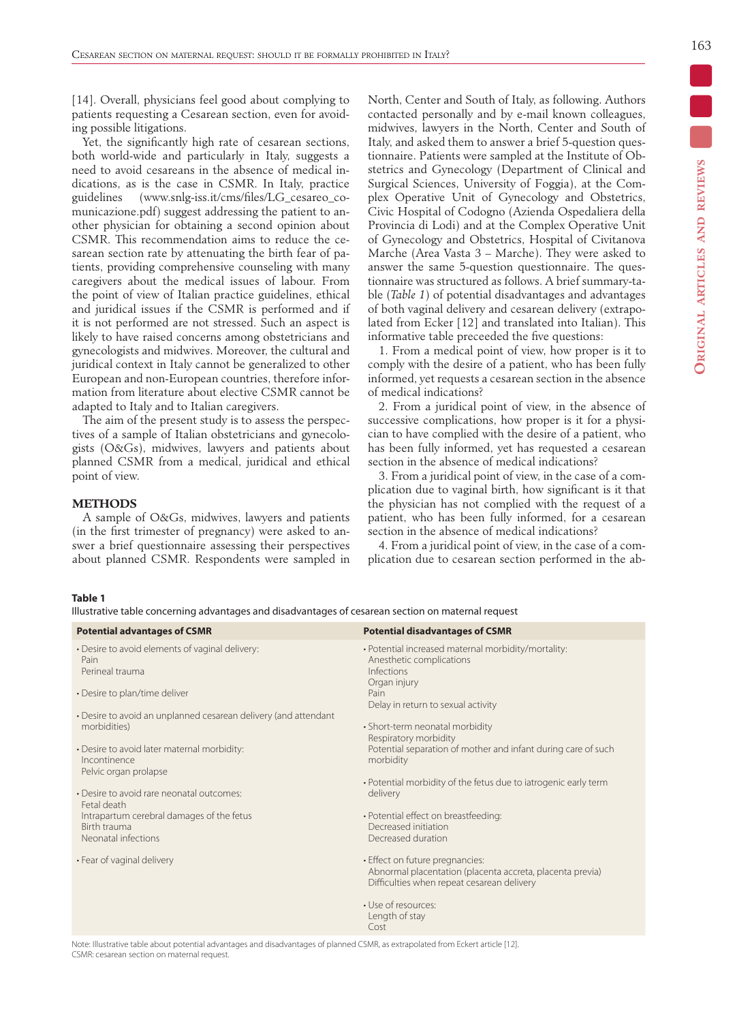[14]. Overall, physicians feel good about complying to patients requesting a Cesarean section, even for avoiding possible litigations.

Yet, the significantly high rate of cesarean sections, both world-wide and particularly in Italy, suggests a need to avoid cesareans in the absence of medical indications, as is the case in CSMR. In Italy, practice guidelines (www.snlg-iss.it/cms/files/LG\_cesareo\_comunicazione.pdf) suggest addressing the patient to another physician for obtaining a second opinion about CSMR. This recommendation aims to reduce the cesarean section rate by attenuating the birth fear of patients, providing comprehensive counseling with many caregivers about the medical issues of labour. From the point of view of Italian practice guidelines, ethical and juridical issues if the CSMR is performed and if it is not performed are not stressed. Such an aspect is likely to have raised concerns among obstetricians and gynecologists and midwives. Moreover, the cultural and juridical context in Italy cannot be generalized to other European and non-European countries, therefore information from literature about elective CSMR cannot be adapted to Italy and to Italian caregivers.

The aim of the present study is to assess the perspectives of a sample of Italian obstetricians and gynecologists (O&Gs), midwives, lawyers and patients about planned CSMR from a medical, juridical and ethical point of view.

# **METHODS**

A sample of O&Gs, midwives, lawyers and patients (in the first trimester of pregnancy) were asked to answer a brief questionnaire assessing their perspectives about planned CSMR. Respondents were sampled in North, Center and South of Italy, as following. Authors contacted personally and by e-mail known colleagues, midwives, lawyers in the North, Center and South of Italy, and asked them to answer a brief 5-question questionnaire. Patients were sampled at the Institute of Obstetrics and Gynecology (Department of Clinical and Surgical Sciences, University of Foggia), at the Complex Operative Unit of Gynecology and Obstetrics, Civic Hospital of Codogno (Azienda Ospedaliera della Provincia di Lodi) and at the Complex Operative Unit of Gynecology and Obstetrics, Hospital of Civitanova Marche (Area Vasta 3 – Marche). They were asked to answer the same 5-question questionnaire. The questionnaire was structured as follows. A brief summary-table (*Table 1*) of potential disadvantages and advantages of both vaginal delivery and cesarean delivery (extrapolated from Ecker [12] and translated into Italian). This informative table preceeded the five questions:

1. From a medical point of view, how proper is it to comply with the desire of a patient, who has been fully informed, yet requests a cesarean section in the absence of medical indications?

2. From a juridical point of view, in the absence of successive complications, how proper is it for a physician to have complied with the desire of a patient, who has been fully informed, yet has requested a cesarean section in the absence of medical indications?

3. From a juridical point of view, in the case of a complication due to vaginal birth, how significant is it that the physician has not complied with the request of a patient, who has been fully informed, for a cesarean section in the absence of medical indications?

4. From a juridical point of view, in the case of a complication due to cesarean section performed in the ab-

#### **Table 1**

Illustrative table concerning advantages and disadvantages of cesarean section on maternal request

| <b>Potential advantages of CSMR</b>                                                  | <b>Potential disadvantages of CSMR</b>                                                                                                     |
|--------------------------------------------------------------------------------------|--------------------------------------------------------------------------------------------------------------------------------------------|
| • Desire to avoid elements of vaginal delivery:<br>Pain<br>Perineal trauma           | · Potential increased maternal morbidity/mortality:<br>Anesthetic complications<br>Infections<br>Organ injury                              |
| • Desire to plan/time deliver                                                        | Pain<br>Delay in return to sexual activity                                                                                                 |
| • Desire to avoid an unplanned cesarean delivery (and attendant<br>morbidities)      | • Short-term neonatal morbidity<br>Respiratory morbidity                                                                                   |
| • Desire to avoid later maternal morbidity:<br>Incontinence<br>Pelvic organ prolapse | Potential separation of mother and infant during care of such<br>morbidity                                                                 |
| • Desire to avoid rare neonatal outcomes:<br>Fetal death                             | • Potential morbidity of the fetus due to iatrogenic early term<br>delivery                                                                |
| Intrapartum cerebral damages of the fetus<br>Birth trauma<br>Neonatal infections     | · Potential effect on breastfeeding:<br>Decreased initiation<br>Decreased duration                                                         |
| • Fear of vaginal delivery                                                           | • Effect on future pregnancies:<br>Abnormal placentation (placenta accreta, placenta previa)<br>Difficulties when repeat cesarean delivery |
|                                                                                      | · Use of resources:<br>Length of stay<br>Cost                                                                                              |

Note: Illustrative table about potential advantages and disadvantages of planned CSMR, as extrapolated from Eckert article [12]. CSMR: cesarean section on maternal request.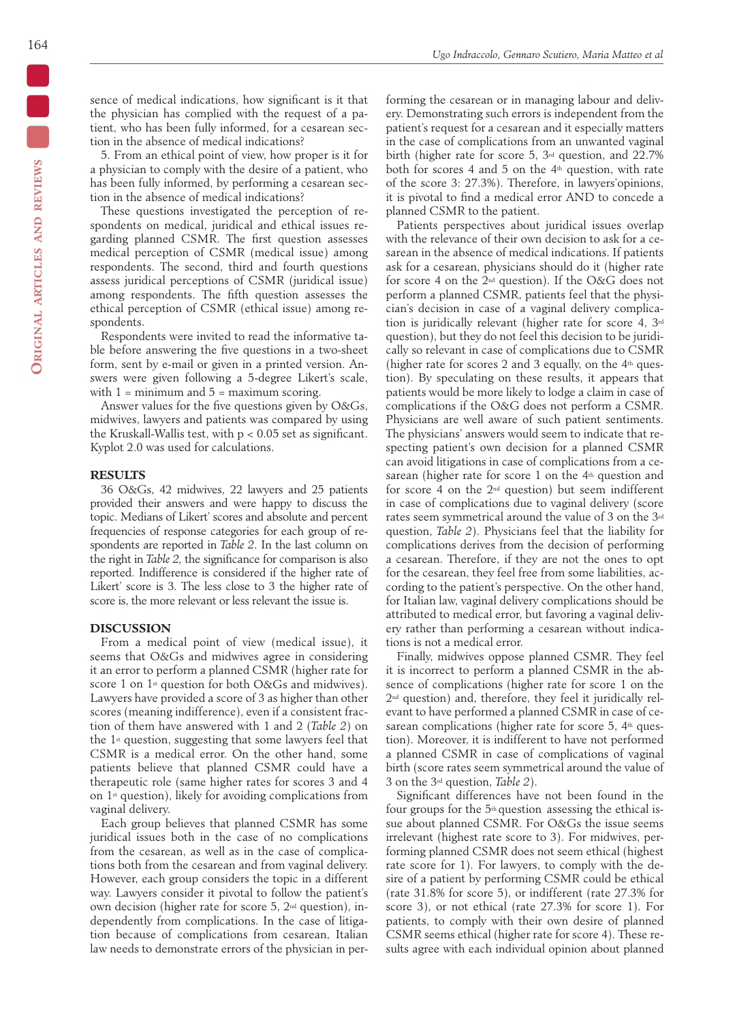sence of medical indications, how significant is it that the physician has complied with the request of a patient, who has been fully informed, for a cesarean section in the absence of medical indications?

5. From an ethical point of view, how proper is it for a physician to comply with the desire of a patient, who has been fully informed, by performing a cesarean section in the absence of medical indications?

These questions investigated the perception of respondents on medical, juridical and ethical issues regarding planned CSMR. The first question assesses medical perception of CSMR (medical issue) among respondents. The second, third and fourth questions assess juridical perceptions of CSMR (juridical issue) among respondents. The fifth question assesses the ethical perception of CSMR (ethical issue) among respondents.

Respondents were invited to read the informative table before answering the five questions in a two-sheet form, sent by e-mail or given in a printed version. Answers were given following a 5-degree Likert's scale, with  $1 =$  minimum and  $5 =$  maximum scoring.

Answer values for the five questions given by O&Gs, midwives, lawyers and patients was compared by using the Kruskall-Wallis test, with  $p < 0.05$  set as significant. Kyplot 2.0 was used for calculations.

# **RESULTS**

36 O&Gs, 42 midwives, 22 lawyers and 25 patients provided their answers and were happy to discuss the topic. Medians of Likert' scores and absolute and percent frequencies of response categories for each group of respondents are reported in *Table 2*. In the last column on the right in *Table 2,* the significance for comparison is also reported. Indifference is considered if the higher rate of Likert' score is 3. The less close to 3 the higher rate of score is, the more relevant or less relevant the issue is.

## **DISCUSSION**

From a medical point of view (medical issue), it seems that O&Gs and midwives agree in considering it an error to perform a planned CSMR (higher rate for score 1 on 1<sup>st</sup> question for both O&Gs and midwives). Lawyers have provided a score of 3 as higher than other scores (meaning indifference), even if a consistent fraction of them have answered with 1 and 2 (*Table 2*) on the 1st question, suggesting that some lawyers feel that CSMR is a medical error. On the other hand, some patients believe that planned CSMR could have a therapeutic role (same higher rates for scores 3 and 4 on 1st question), likely for avoiding complications from vaginal delivery.

Each group believes that planned CSMR has some juridical issues both in the case of no complications from the cesarean, as well as in the case of complications both from the cesarean and from vaginal delivery. However, each group considers the topic in a different way. Lawyers consider it pivotal to follow the patient's own decision (higher rate for score 5, 2nd question), independently from complications. In the case of litigation because of complications from cesarean, Italian law needs to demonstrate errors of the physician in per-

forming the cesarean or in managing labour and delivery. Demonstrating such errors is independent from the patient's request for a cesarean and it especially matters in the case of complications from an unwanted vaginal birth (higher rate for score 5,  $3<sup>rd</sup>$  question, and 22.7% both for scores 4 and 5 on the 4th question, with rate of the score 3: 27.3%). Therefore, in lawyers'opinions, it is pivotal to find a medical error AND to concede a planned CSMR to the patient.

Patients perspectives about juridical issues overlap with the relevance of their own decision to ask for a cesarean in the absence of medical indications. If patients ask for a cesarean, physicians should do it (higher rate for score 4 on the 2nd question). If the O&G does not perform a planned CSMR, patients feel that the physician's decision in case of a vaginal delivery complication is juridically relevant (higher rate for score 4, 3rd question), but they do not feel this decision to be juridically so relevant in case of complications due to CSMR (higher rate for scores 2 and 3 equally, on the  $4<sup>th</sup>$  question). By speculating on these results, it appears that patients would be more likely to lodge a claim in case of complications if the O&G does not perform a CSMR. Physicians are well aware of such patient sentiments. The physicians' answers would seem to indicate that respecting patient's own decision for a planned CSMR can avoid litigations in case of complications from a cesarean (higher rate for score 1 on the 4<sup>th</sup> question and for score 4 on the  $2<sup>nd</sup>$  question) but seem indifferent in case of complications due to vaginal delivery (score rates seem symmetrical around the value of 3 on the 3rd question, *Table 2*). Physicians feel that the liability for complications derives from the decision of performing a cesarean. Therefore, if they are not the ones to opt for the cesarean, they feel free from some liabilities, according to the patient's perspective. On the other hand, for Italian law, vaginal delivery complications should be attributed to medical error, but favoring a vaginal delivery rather than performing a cesarean without indications is not a medical error.

Finally, midwives oppose planned CSMR. They feel it is incorrect to perform a planned CSMR in the absence of complications (higher rate for score 1 on the 2nd question) and, therefore, they feel it juridically relevant to have performed a planned CSMR in case of cesarean complications (higher rate for score  $5$ ,  $4<sup>th</sup>$  question). Moreover, it is indifferent to have not performed a planned CSMR in case of complications of vaginal birth (score rates seem symmetrical around the value of 3 on the 3rd question, *Table 2*).

Significant differences have not been found in the four groups for the 5th question assessing the ethical issue about planned CSMR. For O&Gs the issue seems irrelevant (highest rate score to 3). For midwives, performing planned CSMR does not seem ethical (highest rate score for 1). For lawyers, to comply with the desire of a patient by performing CSMR could be ethical (rate 31.8% for score 5), or indifferent (rate 27.3% for score 3), or not ethical (rate 27.3% for score 1). For patients, to comply with their own desire of planned CSMR seems ethical (higher rate for score 4). These results agree with each individual opinion about planned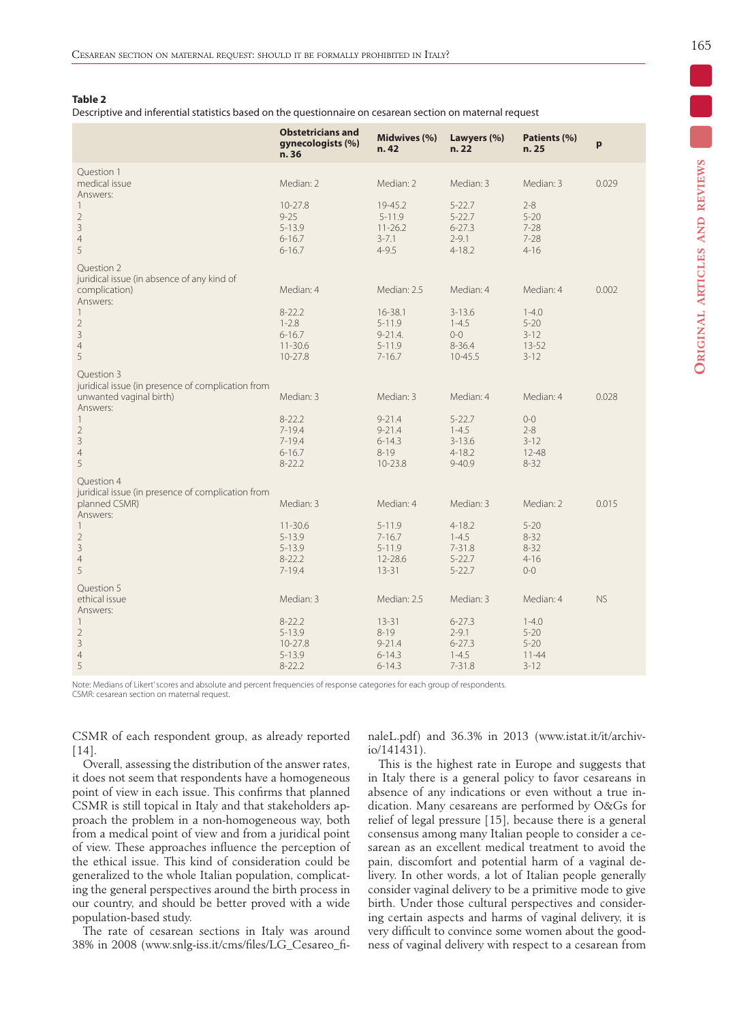## **Table 2**

Descriptive and inferential statistics based on the questionnaire on cesarean section on maternal request

|                                                                                                                 | <b>Obstetricians and</b><br>gynecologists (%)<br>n. 36              | Midwives (%)<br>n.42                                              | Lawyers (%)<br>n.22                                               | Patients (%)<br>n.25                                       | p         |
|-----------------------------------------------------------------------------------------------------------------|---------------------------------------------------------------------|-------------------------------------------------------------------|-------------------------------------------------------------------|------------------------------------------------------------|-----------|
| Ouestion 1<br>medical issue<br>Answers:<br>$\overline{1}$<br>$\overline{2}$<br>$\overline{3}$<br>$\overline{4}$ | Median: 2<br>$10 - 27.8$<br>$9 - 25$<br>$5 - 13.9$<br>$6 - 16.7$    | Median: 2<br>19-45.2<br>$5 - 11.9$<br>$11 - 26.2$<br>$3 - 7.1$    | Median: 3<br>$5 - 22.7$<br>$5 - 22.7$<br>$6 - 27.3$<br>$2 - 9.1$  | Median: 3<br>$2 - 8$<br>$5 - 20$<br>$7 - 28$<br>$7 - 28$   | 0.029     |
| 5<br>Question 2                                                                                                 | $6 - 16.7$                                                          | $4 - 9.5$                                                         | $4 - 18.2$                                                        | $4 - 16$                                                   |           |
| juridical issue (in absence of any kind of<br>complication)<br>Answers:                                         | Median: 4                                                           | Median: 2.5                                                       | Median: 4                                                         | Median: 4                                                  | 0.002     |
| $\overline{\phantom{a}}$<br>$\overline{2}$<br>$\overline{3}$<br>$\overline{4}$<br>5                             | $8 - 22.2$<br>$1 - 2.8$<br>$6 - 16.7$<br>$11 - 30.6$<br>$10 - 27.8$ | 16-38.1<br>$5 - 11.9$<br>$9 - 21.4$ .<br>$5 - 11.9$<br>$7 - 16.7$ | $3 - 13.6$<br>$1 - 4.5$<br>$0-0$<br>$8 - 36.4$<br>10-45.5         | $1 - 4.0$<br>$5 - 20$<br>$3 - 12$<br>$13 - 52$<br>$3 - 12$ |           |
| Ouestion 3<br>juridical issue (in presence of complication from<br>unwanted vaginal birth)<br>Answers:          | Median: 3                                                           | Median: 3                                                         | Median: 4                                                         | Median: 4                                                  | 0.028     |
| $\overline{1}$<br>$\overline{2}$<br>$\overline{3}$<br>$\overline{4}$<br>5                                       | $8 - 22.2$<br>$7 - 19.4$<br>$7 - 19.4$<br>$6 - 16.7$<br>$8 - 22.2$  | $9 - 21.4$<br>$9 - 21.4$<br>$6 - 14.3$<br>$8 - 19$<br>10-23.8     | $5 - 22.7$<br>$1 - 4.5$<br>$3 - 13.6$<br>$4 - 18.2$<br>$9 - 40.9$ | $O-O$<br>$2 - 8$<br>$3 - 12$<br>$12 - 48$<br>$8 - 32$      |           |
| Ouestion 4<br>juridical issue (in presence of complication from<br>planned CSMR)                                | Median: 3                                                           | Median: 4                                                         | Median: 3                                                         | Median: 2                                                  | 0.015     |
| Answers:<br>-1<br>$\overline{2}$<br>3<br>$\overline{4}$<br>5                                                    | $11 - 30.6$<br>$5 - 13.9$<br>$5 - 13.9$<br>$8 - 22.2$<br>$7 - 19.4$ | $5 - 11.9$<br>$7 - 16.7$<br>$5 - 11.9$<br>12-28.6<br>$13 - 31$    | $4 - 18.2$<br>$1 - 4.5$<br>$7 - 31.8$<br>$5 - 22.7$<br>$5 - 22.7$ | $5 - 20$<br>$8 - 32$<br>$8 - 32$<br>$4 - 16$<br>$O-O$      |           |
| Question 5<br>ethical issue<br>Answers:                                                                         | Median: 3                                                           | Median: 2.5                                                       | Median: 3                                                         | Median: 4                                                  | <b>NS</b> |
| 1<br>$\overline{c}$<br>3<br>$\overline{4}$<br>5                                                                 | $8 - 22.2$<br>$5 - 13.9$<br>$10 - 27.8$<br>$5 - 13.9$<br>$8 - 22.2$ | $13 - 31$<br>$8 - 19$<br>$9 - 21.4$<br>$6 - 14.3$<br>$6 - 14.3$   | $6 - 27.3$<br>$2 - 9.1$<br>$6 - 27.3$<br>$1 - 4.5$<br>$7 - 31.8$  | $1 - 4.0$<br>$5 - 20$<br>$5 - 20$<br>$11 - 44$<br>$3 - 12$ |           |

Note: Medians of Likert' scores and absolute and percent frequencies of response categories for each group of respondents. CSMR: cesarean section on maternal request.

CSMR of each respondent group, as already reported [14].

Overall, assessing the distribution of the answer rates, it does not seem that respondents have a homogeneous point of view in each issue. This confirms that planned CSMR is still topical in Italy and that stakeholders approach the problem in a non-homogeneous way, both from a medical point of view and from a juridical point of view. These approaches influence the perception of the ethical issue. This kind of consideration could be generalized to the whole Italian population, complicating the general perspectives around the birth process in our country, and should be better proved with a wide population-based study.

The rate of cesarean sections in Italy was around 38% in 2008 (www.snlg-iss.it/cms/files/LG\_Cesareo\_finaleL.pdf) and 36.3% in 2013 (www.istat.it/it/archivio/141431).

This is the highest rate in Europe and suggests that in Italy there is a general policy to favor cesareans in absence of any indications or even without a true indication. Many cesareans are performed by O&Gs for relief of legal pressure [15], because there is a general consensus among many Italian people to consider a cesarean as an excellent medical treatment to avoid the pain, discomfort and potential harm of a vaginal delivery. In other words, a lot of Italian people generally consider vaginal delivery to be a primitive mode to give birth. Under those cultural perspectives and considering certain aspects and harms of vaginal delivery, it is very difficult to convince some women about the goodness of vaginal delivery with respect to a cesarean from